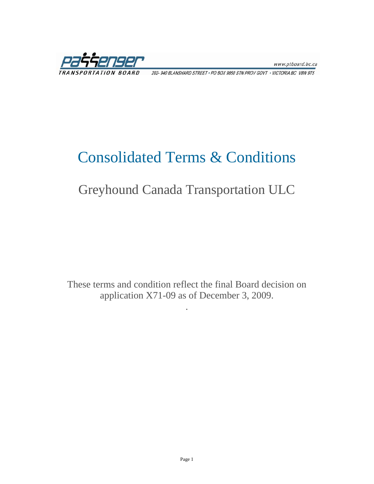www.ptboard.bc.ca

202- 940 BLANSHARD STREET · PO BOX 9850 STN PROV GOVT · VICTORIA BC V8W 9T5

## Consolidated Terms & Conditions

## Greyhound Canada Transportation ULC

These terms and condition reflect the final Board decision on application X71-09 as of December 3, 2009.

.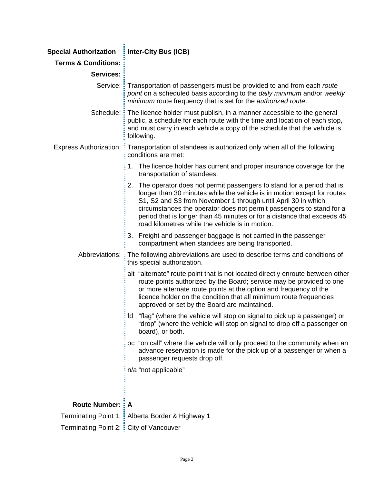| Special Authorization : Inter-City Bus (ICB) |                                                                                                                                                                                                                                                                                                                                                                                                                            |
|----------------------------------------------|----------------------------------------------------------------------------------------------------------------------------------------------------------------------------------------------------------------------------------------------------------------------------------------------------------------------------------------------------------------------------------------------------------------------------|
| <b>Terms &amp; Conditions:</b>               |                                                                                                                                                                                                                                                                                                                                                                                                                            |
| <b>Services:</b>                             |                                                                                                                                                                                                                                                                                                                                                                                                                            |
|                                              | Service: Transportation of passengers must be provided to and from each route<br>point on a scheduled basis according to the daily minimum and/or weekly<br>minimum route frequency that is set for the authorized route.                                                                                                                                                                                                  |
|                                              | Schedule: The licence holder must publish, in a manner accessible to the general<br>public, a schedule for each route with the time and location of each stop,<br>and must carry in each vehicle a copy of the schedule that the vehicle is<br>following.                                                                                                                                                                  |
| <b>Express Authorization: E</b>              | Transportation of standees is authorized only when all of the following<br>conditions are met:                                                                                                                                                                                                                                                                                                                             |
|                                              | 1. The licence holder has current and proper insurance coverage for the<br>transportation of standees.                                                                                                                                                                                                                                                                                                                     |
|                                              | 2. The operator does not permit passengers to stand for a period that is<br>longer than 30 minutes while the vehicle is in motion except for routes<br>S1, S2 and S3 from November 1 through until April 30 in which<br>circumstances the operator does not permit passengers to stand for a<br>period that is longer than 45 minutes or for a distance that exceeds 45<br>road kilometres while the vehicle is in motion. |
|                                              | 3. Freight and passenger baggage is not carried in the passenger<br>compartment when standees are being transported.                                                                                                                                                                                                                                                                                                       |
|                                              | Abbreviations: E The following abbreviations are used to describe terms and conditions of<br>this special authorization.                                                                                                                                                                                                                                                                                                   |
|                                              | alt "alternate" route point that is not located directly enroute between other<br>route points authorized by the Board; service may be provided to one<br>or more alternate route points at the option and frequency of the<br>licence holder on the condition that all minimum route frequencies<br>approved or set by the Board are maintained.                                                                          |
|                                              | "flag" (where the vehicle will stop on signal to pick up a passenger) or<br>fd<br>"drop" (where the vehicle will stop on signal to drop off a passenger on<br>board), or both.                                                                                                                                                                                                                                             |
|                                              | oc "on call" where the vehicle will only proceed to the community when an<br>advance reservation is made for the pick up of a passenger or when a<br>passenger requests drop off.                                                                                                                                                                                                                                          |
|                                              | n/a "not applicable"                                                                                                                                                                                                                                                                                                                                                                                                       |
| <b>Route Number: : A</b>                     |                                                                                                                                                                                                                                                                                                                                                                                                                            |
|                                              | Terminating Point 1: : Alberta Border & Highway 1                                                                                                                                                                                                                                                                                                                                                                          |
| Terminating Point 2: E City of Vancouver     |                                                                                                                                                                                                                                                                                                                                                                                                                            |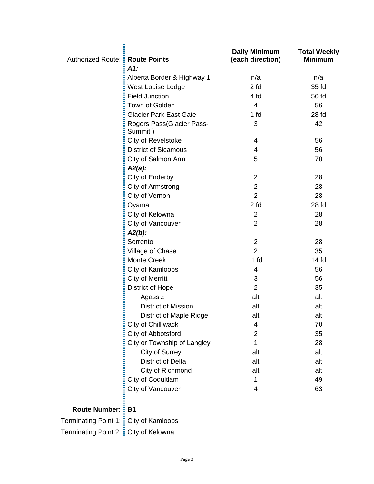| Authorized Route: : Route Points | $A1$ :                               | <b>Daily Minimum</b><br>(each direction) | <b>Total Weekly</b><br><b>Minimum</b> |
|----------------------------------|--------------------------------------|------------------------------------------|---------------------------------------|
|                                  | Alberta Border & Highway 1           | n/a                                      | n/a                                   |
|                                  | West Louise Lodge                    | 2 <sub>td</sub>                          | 35 fd                                 |
|                                  | <b>Field Junction</b>                | 4 fd                                     | 56 fd                                 |
|                                  | Town of Golden                       | 4                                        | 56                                    |
|                                  | <b>Glacier Park East Gate</b>        | 1 <sub>fd</sub>                          | 28 <sub>fd</sub>                      |
|                                  | Rogers Pass(Glacier Pass-<br>Summit) | 3                                        | 42                                    |
|                                  | City of Revelstoke                   | 4                                        | 56                                    |
|                                  | <b>District of Sicamous</b>          | 4                                        | 56                                    |
|                                  | City of Salmon Arm                   | 5                                        | 70                                    |
|                                  | $A2(a)$ :                            |                                          |                                       |
|                                  | City of Enderby                      | $\overline{2}$                           | 28                                    |
|                                  | City of Armstrong                    | $\overline{c}$                           | 28                                    |
|                                  | City of Vernon                       | $\overline{2}$                           | 28                                    |
|                                  | Oyama                                | 2 <sub>td</sub>                          | 28 fd                                 |
|                                  | City of Kelowna                      | $\overline{2}$                           | 28                                    |
|                                  | City of Vancouver                    | $\overline{2}$                           | 28                                    |
|                                  | $A2(b)$ :                            |                                          |                                       |
|                                  | Sorrento                             | $\overline{2}$                           | 28                                    |
|                                  | Village of Chase                     | $\overline{2}$                           | 35                                    |
|                                  | <b>Monte Creek</b>                   | 1 <sub>fd</sub>                          | 14 fd                                 |
|                                  | City of Kamloops                     | 4                                        | 56                                    |
|                                  | City of Merritt                      | 3                                        | 56                                    |
|                                  | <b>District of Hope</b>              | $\overline{2}$                           | 35                                    |
|                                  | Agassiz                              | alt                                      | alt                                   |
|                                  | <b>District of Mission</b>           | alt                                      | alt                                   |
|                                  | <b>District of Maple Ridge</b>       | alt                                      | alt                                   |
|                                  | City of Chilliwack                   | 4                                        | 70                                    |
|                                  | City of Abbotsford                   | $\overline{2}$                           | 35                                    |
|                                  | City or Township of Langley          | 1                                        | 28                                    |
|                                  | City of Surrey                       | alt                                      | alt                                   |
|                                  | <b>District of Delta</b>             | alt                                      | alt                                   |
|                                  | City of Richmond                     | alt                                      | alt                                   |
|                                  | City of Coquitlam                    | 1                                        | 49                                    |
|                                  | City of Vancouver                    | 4                                        | 63                                    |
| <b>Route Number: B1</b>          |                                      |                                          |                                       |

Terminating Point 1: City of Kamloops

Terminating Point 2: City of Kelowna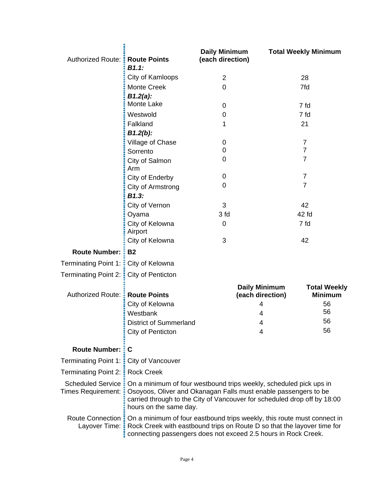| Authorized Route: : Route Points         | B1.1:                                                                                                                                                                                                                                                   | <b>Daily Minimum</b><br>(each direction) |                                          | <b>Total Weekly Minimum</b>           |
|------------------------------------------|---------------------------------------------------------------------------------------------------------------------------------------------------------------------------------------------------------------------------------------------------------|------------------------------------------|------------------------------------------|---------------------------------------|
|                                          | City of Kamloops                                                                                                                                                                                                                                        | $\overline{2}$                           |                                          | 28                                    |
|                                          | <b>Monte Creek</b>                                                                                                                                                                                                                                      | 0                                        |                                          | 7fd                                   |
|                                          | $B1.2(a)$ :                                                                                                                                                                                                                                             |                                          |                                          |                                       |
|                                          | Monte Lake                                                                                                                                                                                                                                              | 0                                        |                                          | 7 fd                                  |
|                                          | Westwold                                                                                                                                                                                                                                                | 0                                        |                                          | 7 fd                                  |
|                                          | Falkland                                                                                                                                                                                                                                                | 1                                        |                                          | 21                                    |
|                                          | $B1.2(b)$ :                                                                                                                                                                                                                                             |                                          |                                          |                                       |
|                                          | Village of Chase                                                                                                                                                                                                                                        | 0<br>0                                   |                                          | $\overline{7}$<br>$\overline{7}$      |
|                                          | Sorrento                                                                                                                                                                                                                                                | 0                                        |                                          | $\overline{7}$                        |
|                                          | City of Salmon<br>Arm                                                                                                                                                                                                                                   |                                          |                                          |                                       |
|                                          | City of Enderby                                                                                                                                                                                                                                         | 0                                        |                                          | $\overline{7}$                        |
|                                          | City of Armstrong                                                                                                                                                                                                                                       | 0                                        |                                          | $\overline{7}$                        |
|                                          | B1.3:                                                                                                                                                                                                                                                   |                                          |                                          |                                       |
|                                          | City of Vernon                                                                                                                                                                                                                                          | 3                                        |                                          | 42                                    |
|                                          | Oyama                                                                                                                                                                                                                                                   | 3 fd                                     |                                          | 42 fd                                 |
|                                          | City of Kelowna<br>Airport                                                                                                                                                                                                                              | 0                                        |                                          | 7 fd                                  |
|                                          | City of Kelowna                                                                                                                                                                                                                                         | 3                                        |                                          | 42                                    |
| <b>Route Number: :</b>                   | <b>B2</b>                                                                                                                                                                                                                                               |                                          |                                          |                                       |
| Terminating Point 1: E City of Kelowna   |                                                                                                                                                                                                                                                         |                                          |                                          |                                       |
| Terminating Point 2: : City of Penticton |                                                                                                                                                                                                                                                         |                                          |                                          |                                       |
| Authorized Route: <b>Route Points</b>    |                                                                                                                                                                                                                                                         |                                          | <b>Daily Minimum</b><br>(each direction) | <b>Total Weekly</b><br><b>Minimum</b> |
|                                          | City of Kelowna                                                                                                                                                                                                                                         |                                          | 4                                        | 56                                    |
|                                          | Westbank                                                                                                                                                                                                                                                |                                          | 4                                        | 56                                    |
|                                          | <b>District of Summerland</b>                                                                                                                                                                                                                           |                                          | 4                                        | 56                                    |
|                                          | City of Penticton                                                                                                                                                                                                                                       |                                          | 4                                        | 56                                    |
| <b>Route Number:</b>                     | C                                                                                                                                                                                                                                                       |                                          |                                          |                                       |
| Terminating Point 1: [ City of Vancouver |                                                                                                                                                                                                                                                         |                                          |                                          |                                       |
| Terminating Point 2: <b>Rock Creek</b>   |                                                                                                                                                                                                                                                         |                                          |                                          |                                       |
|                                          | Scheduled Service : On a minimum of four westbound trips weekly, scheduled pick ups in                                                                                                                                                                  |                                          |                                          |                                       |
| Times Requirement: :                     | Osoyoos, Oliver and Okanagan Falls must enable passengers to be<br>carried through to the City of Vancouver for scheduled drop off by 18:00<br>hours on the same day.                                                                                   |                                          |                                          |                                       |
|                                          | Route Connection : On a minimum of four eastbound trips weekly, this route must connect in<br>Layover Time: E Rock Creek with eastbound trips on Route D so that the layover time for<br>connecting passengers does not exceed 2.5 hours in Rock Creek. |                                          |                                          |                                       |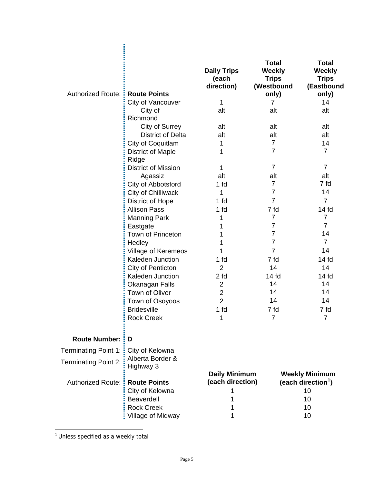| <b>Authorized Route:</b>    | <b>Route Points</b>               | <b>Daily Trips</b><br>(each<br>direction) | <b>Total</b><br><b>Weekly</b><br><b>Trips</b><br>(Westbound<br>only) | <b>Total</b><br><b>Weekly</b><br><b>Trips</b><br>(Eastbound<br>only) |
|-----------------------------|-----------------------------------|-------------------------------------------|----------------------------------------------------------------------|----------------------------------------------------------------------|
|                             | City of Vancouver                 | 1                                         | 7                                                                    | 14                                                                   |
|                             | City of<br>Richmond               | alt                                       | alt                                                                  | alt                                                                  |
|                             | City of Surrey                    | alt                                       | alt                                                                  | alt                                                                  |
|                             | <b>District of Delta</b>          | alt                                       | alt                                                                  | alt                                                                  |
|                             | City of Coquitlam                 | 1                                         | $\overline{7}$                                                       | 14                                                                   |
|                             | <b>District of Maple</b><br>Ridge | 1                                         | $\overline{7}$                                                       | $\overline{7}$                                                       |
|                             | <b>District of Mission</b>        | 1                                         | $\overline{7}$                                                       | $\overline{7}$                                                       |
|                             | Agassiz                           | alt                                       | alt                                                                  | alt                                                                  |
|                             | City of Abbotsford                | 1 fd                                      | $\overline{7}$                                                       | 7 fd                                                                 |
|                             | City of Chilliwack                | 1                                         | 7                                                                    | 14                                                                   |
|                             | <b>District of Hope</b>           | 1 fd                                      | $\overline{7}$                                                       | $\overline{7}$                                                       |
|                             | <b>Allison Pass</b>               | 1 fd                                      | 7 fd                                                                 | 14 <sub>fd</sub>                                                     |
|                             | <b>Manning Park</b>               | 1                                         | $\overline{7}$                                                       | $\overline{7}$                                                       |
|                             | Eastgate                          | 1                                         | $\overline{7}$                                                       | $\overline{7}$                                                       |
|                             | Town of Princeton                 | 1                                         | $\overline{7}$                                                       | 14                                                                   |
|                             | Hedley                            | 1                                         | 7                                                                    | $\overline{7}$                                                       |
|                             | <b>Village of Keremeos</b>        | 1                                         | $\overline{7}$                                                       | 14                                                                   |
|                             | Kaleden Junction                  | 1 fd                                      | 7 fd                                                                 | 14 <sub>fd</sub>                                                     |
|                             | City of Penticton                 | $\overline{2}$                            | 14                                                                   | 14                                                                   |
|                             | Kaleden Junction                  | 2 <sub>td</sub>                           | 14 <sub>fd</sub>                                                     | 14 <sub>fd</sub>                                                     |
|                             | Okanagan Falls                    | $\overline{2}$                            | 14                                                                   | 14                                                                   |
|                             | Town of Oliver                    | $\overline{c}$                            | 14                                                                   | 14                                                                   |
|                             | Town of Osoyoos                   | $\overline{2}$                            | 14                                                                   | 14                                                                   |
|                             | <b>Bridesville</b>                | 1 fd                                      | 7 fd                                                                 | 7 fd                                                                 |
|                             | <b>Rock Creek</b>                 | 1                                         |                                                                      |                                                                      |
| <b>Route Number:</b>        | D                                 |                                           |                                                                      |                                                                      |
| Terminating Point 1:        | City of Kelowna                   |                                           |                                                                      |                                                                      |
| <b>Terminating Point 2:</b> | Alberta Border &<br>Highway 3     |                                           |                                                                      |                                                                      |
| <b>Authorized Route:</b>    | <b>Route Points</b>               | <b>Daily Minimum</b><br>(each direction)  |                                                                      | <b>Weekly Minimum</b><br>(each direction <sup>1</sup> )              |
|                             | City of Kelowna                   | 1                                         |                                                                      | 10                                                                   |
|                             | <b>Beaverdell</b>                 | 1                                         |                                                                      | 10                                                                   |
|                             | <b>Rock Creek</b>                 | 1                                         |                                                                      | 10                                                                   |
|                             | Village of Midway                 | 1                                         |                                                                      | 10                                                                   |

<span id="page-4-0"></span><sup>1</sup> Unless specified as a weekly total

 $\overline{a}$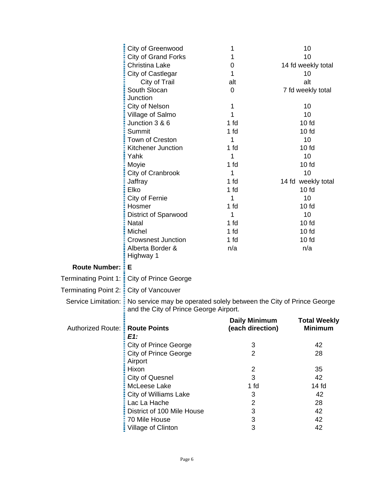|                                          | City of Greenwood                                                                                                                   | 1                                        | 10                                    |
|------------------------------------------|-------------------------------------------------------------------------------------------------------------------------------------|------------------------------------------|---------------------------------------|
|                                          | <b>City of Grand Forks</b>                                                                                                          | 1                                        | 10                                    |
|                                          | Christina Lake                                                                                                                      | 0                                        | 14 fd weekly total                    |
|                                          | City of Castlegar                                                                                                                   | 1                                        | 10                                    |
|                                          | City of Trail                                                                                                                       | alt                                      | alt                                   |
|                                          | South Slocan                                                                                                                        | 0                                        | 7 fd weekly total                     |
|                                          | Junction                                                                                                                            |                                          |                                       |
|                                          | City of Nelson                                                                                                                      | 1                                        | 10                                    |
|                                          | Village of Salmo                                                                                                                    | 1                                        | 10                                    |
|                                          | Junction 3 & 6                                                                                                                      | 1 fd                                     | $10f$ d                               |
|                                          | Summit                                                                                                                              | 1 fd                                     | 10f                                   |
|                                          | Town of Creston                                                                                                                     | 1                                        | 10                                    |
|                                          | Kitchener Junction                                                                                                                  | 1 fd                                     | $10f$ d                               |
|                                          | Yahk                                                                                                                                | 1                                        | 10                                    |
|                                          | Moyie                                                                                                                               | 1 fd                                     | 10f                                   |
|                                          | City of Cranbrook                                                                                                                   | 1                                        | 10                                    |
|                                          | Jaffray                                                                                                                             | 1 fd                                     | 14 fd weekly total                    |
|                                          | Elko                                                                                                                                | 1 fd                                     | $10f$ d                               |
|                                          | City of Fernie                                                                                                                      | 1                                        | 10                                    |
|                                          | Hosmer                                                                                                                              | 1 fd                                     | 10f                                   |
|                                          | <b>District of Sparwood</b>                                                                                                         | 1                                        | 10                                    |
|                                          | <b>Natal</b>                                                                                                                        | 1 <sub>fd</sub>                          | $10f$ d                               |
|                                          | Michel                                                                                                                              | 1 fd                                     | 10f                                   |
|                                          | <b>Crowsnest Junction</b>                                                                                                           | 1 fd                                     | $10f$ d                               |
|                                          | Alberta Border &                                                                                                                    | n/a                                      | n/a                                   |
|                                          | Highway 1                                                                                                                           |                                          |                                       |
| <b>Route Number:</b>                     | šΕ                                                                                                                                  |                                          |                                       |
|                                          |                                                                                                                                     |                                          |                                       |
| <b>Terminating Point 1:</b>              | <b>City of Prince George</b>                                                                                                        |                                          |                                       |
| Terminating Point 2: : City of Vancouver |                                                                                                                                     |                                          |                                       |
|                                          | Service Limitation: : No service may be operated solely between the City of Prince George<br>and the City of Prince George Airport. |                                          |                                       |
|                                          |                                                                                                                                     |                                          |                                       |
| Authorized Route: <b>Route Points</b>    |                                                                                                                                     | <b>Daily Minimum</b><br>(each direction) | <b>Total Weekly</b><br><b>Minimum</b> |
|                                          | $E1$ :                                                                                                                              |                                          |                                       |
|                                          | <b>City of Prince George</b>                                                                                                        | 3                                        | 42                                    |
|                                          | <b>City of Prince George</b>                                                                                                        | $\overline{2}$                           | 28                                    |
|                                          | Airport                                                                                                                             |                                          |                                       |
|                                          | Hixon                                                                                                                               | $\overline{c}$                           | 35                                    |
|                                          | <b>City of Quesnel</b>                                                                                                              | 3                                        | 42                                    |
|                                          | McLeese Lake                                                                                                                        | 1 fd                                     | 14 <sub>fd</sub>                      |
|                                          | City of Williams Lake                                                                                                               | 3                                        | 42                                    |
|                                          | Lac La Hache                                                                                                                        | $\overline{c}$                           | 28                                    |
|                                          | District of 100 Mile House                                                                                                          | 3                                        | 42                                    |
|                                          | 70 Mile House                                                                                                                       | 3                                        | 42                                    |
|                                          | Village of Clinton                                                                                                                  | 3                                        | 42                                    |
|                                          |                                                                                                                                     |                                          |                                       |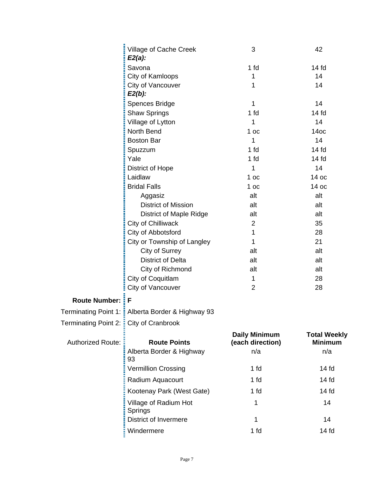|                                        | Village of Cache Creek<br>$E2(a)$ :              | 3                    | 42                  |
|----------------------------------------|--------------------------------------------------|----------------------|---------------------|
|                                        | Savona                                           | 1 fd                 | 14 fd               |
|                                        | City of Kamloops                                 | 1                    | 14                  |
|                                        | City of Vancouver<br>$E2(b)$ :                   | 1                    | 14                  |
|                                        | Spences Bridge                                   | 1                    | 14                  |
|                                        | <b>Shaw Springs</b>                              | 1 fd                 | 14 <sub>fd</sub>    |
|                                        | Village of Lytton                                | 1                    | 14                  |
|                                        | North Bend                                       | 1 <sub>oc</sub>      | 14 <sub>OC</sub>    |
|                                        | <b>Boston Bar</b>                                | 1                    | 14                  |
|                                        | Spuzzum                                          | 1 fd                 | 14 <sub>fd</sub>    |
|                                        | Yale                                             | 1 fd                 | 14 fd               |
|                                        | District of Hope                                 | 1                    | 14                  |
|                                        | Laidlaw                                          | 1 <sub>oc</sub>      | 14 oc               |
|                                        | <b>Bridal Falls</b>                              | 1 <sub>oc</sub>      | 14 oc               |
|                                        | Aggasiz                                          | alt                  | alt                 |
|                                        | <b>District of Mission</b>                       | alt                  | alt                 |
|                                        | <b>District of Maple Ridge</b>                   | alt                  | alt                 |
|                                        | City of Chilliwack                               | $\overline{2}$       | 35                  |
|                                        | City of Abbotsford                               | 1                    | 28                  |
|                                        | City or Township of Langley                      | 1                    | 21                  |
|                                        | City of Surrey                                   | alt                  | alt                 |
|                                        | <b>District of Delta</b>                         | alt                  | alt                 |
|                                        | City of Richmond                                 | alt                  | alt                 |
|                                        | City of Coquitlam                                | 1                    | 28                  |
|                                        | City of Vancouver                                | $\overline{2}$       | 28                  |
| <b>Route Number:</b>                   | F                                                |                      |                     |
|                                        | Terminating Point 1: Alberta Border & Highway 93 |                      |                     |
| Terminating Point 2: Eity of Cranbrook |                                                  |                      |                     |
|                                        |                                                  | <b>Daily Minimum</b> | <b>Total Weekly</b> |
| <b>Authorized Route:</b>               | <b>Route Points</b>                              | (each direction)     | <b>Minimum</b>      |
|                                        | Alberta Border & Highway<br>93                   | n/a                  | n/a                 |
|                                        | <b>Vermillion Crossing</b>                       | 1 fd                 | 14 <sub>fd</sub>    |
|                                        | Radium Aquacourt                                 | 1 fd                 | 14 <sub>fd</sub>    |
|                                        | Kootenay Park (West Gate)                        | 1 <sub>fd</sub>      | 14 <sub>fd</sub>    |
|                                        | Village of Radium Hot<br>Springs                 | 1                    | 14                  |
|                                        | <b>District of Invermere</b>                     | 1                    | 14                  |
|                                        | Windermere                                       | 1 fd                 | 14f                 |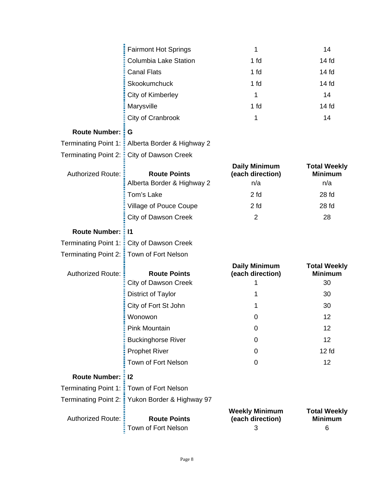|                               | <b>Fairmont Hot Springs</b>                       | 1                                               | 14                                           |
|-------------------------------|---------------------------------------------------|-------------------------------------------------|----------------------------------------------|
|                               | <b>Columbia Lake Station</b>                      | 1 <sub>fd</sub>                                 | 14 <sub>fd</sub>                             |
|                               | <b>Canal Flats</b>                                | 1 fd                                            | 14 <sub>fd</sub>                             |
|                               | Skookumchuck                                      | 1 fd                                            | 14 fd                                        |
|                               | City of Kimberley                                 | 1                                               | 14                                           |
|                               | Marysville                                        | 1 fd                                            | 14 <sub>fd</sub>                             |
|                               | City of Cranbrook                                 | 1                                               | 14                                           |
| <b>Route Number:</b>          | G                                                 |                                                 |                                              |
| Terminating Point 1: <b>E</b> | Alberta Border & Highway 2                        |                                                 |                                              |
| <b>Terminating Point 2:</b>   | <b>City of Dawson Creek</b>                       |                                                 |                                              |
| <b>Authorized Route:</b>      | <b>Route Points</b><br>Alberta Border & Highway 2 | <b>Daily Minimum</b><br>(each direction)<br>n/a | <b>Total Weekly</b><br><b>Minimum</b><br>n/a |
|                               | Tom's Lake                                        | 2 fd                                            | 28 fd                                        |
|                               | <b>Village of Pouce Coupe</b>                     | 2 <sub>td</sub>                                 | 28 fd                                        |
|                               | <b>City of Dawson Creek</b>                       | $\overline{2}$                                  | 28                                           |
| <b>Route Number: : 11</b>     |                                                   |                                                 |                                              |
| Terminating Point 1: <b>E</b> | City of Dawson Creek                              |                                                 |                                              |
| Terminating Point 2: <b>:</b> | Town of Fort Nelson                               |                                                 |                                              |
| <b>Authorized Route:</b>      | <b>Route Points</b>                               | <b>Daily Minimum</b><br>(each direction)        | <b>Total Weekly</b><br><b>Minimum</b>        |
|                               | <b>City of Dawson Creek</b>                       | 1                                               | 30                                           |
|                               | District of Taylor                                | 1                                               | 30                                           |
|                               | City of Fort St John                              | 1                                               | 30                                           |
|                               | Wonowon                                           | 0                                               | 12                                           |
|                               | <b>Pink Mountain</b>                              | 0                                               | 12                                           |
|                               | <b>Buckinghorse River</b>                         | 0                                               | 12                                           |
|                               | <b>Prophet River</b>                              | 0                                               | 12 <sub>td</sub>                             |
|                               | Town of Fort Nelson                               | 0                                               | 12                                           |
| <b>Route Number: : 12</b>     |                                                   |                                                 |                                              |
|                               | Terminating Point 1: Town of Fort Nelson          |                                                 |                                              |
|                               | Terminating Point 2: : Yukon Border & Highway 97  |                                                 |                                              |
| <b>Authorized Route:</b>      | <b>Route Points</b><br>Town of Fort Nelson        | <b>Weekly Minimum</b><br>(each direction)<br>3  | <b>Total Weekly</b><br><b>Minimum</b><br>6   |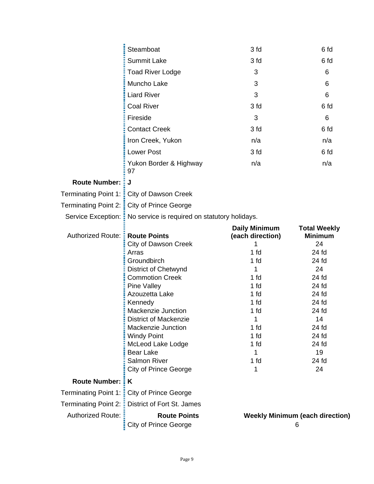|                             | Steamboat                                                        | 3 fd                                     | 6 fd                                  |
|-----------------------------|------------------------------------------------------------------|------------------------------------------|---------------------------------------|
|                             | <b>Summit Lake</b>                                               | 3 fd                                     | 6 fd                                  |
|                             | <b>Toad River Lodge</b>                                          | 3                                        | 6                                     |
|                             | Muncho Lake                                                      | 3                                        | 6                                     |
|                             | <b>Liard River</b>                                               | 3                                        | 6                                     |
|                             | <b>Coal River</b>                                                | 3 fd                                     | 6 fd                                  |
|                             | Fireside                                                         | 3                                        | 6                                     |
|                             | <b>Contact Creek</b>                                             | 3 fd                                     | 6 fd                                  |
|                             | Iron Creek, Yukon                                                | n/a                                      | n/a                                   |
|                             | <b>Lower Post</b>                                                | 3 fd                                     | 6 fd                                  |
|                             | Yukon Border & Highway<br>97                                     | n/a                                      | n/a                                   |
| <b>Route Number:</b>        | J                                                                |                                          |                                       |
|                             | Terminating Point 1: : City of Dawson Creek                      |                                          |                                       |
|                             | Terminating Point 2: City of Prince George                       |                                          |                                       |
|                             | Service Exception: No service is required on statutory holidays. |                                          |                                       |
| <b>Authorized Route:</b>    | <b>Route Points</b>                                              | <b>Daily Minimum</b><br>(each direction) | <b>Total Weekly</b><br><b>Minimum</b> |
|                             | <b>City of Dawson Creek</b>                                      |                                          | 24                                    |
|                             |                                                                  |                                          |                                       |
|                             | Arras                                                            | 1 fd                                     | 24 fd                                 |
|                             | Groundbirch                                                      | 1 fd                                     | 24 fd                                 |
|                             | District of Chetwynd                                             | 1                                        | 24                                    |
|                             | <b>Commotion Creek</b><br><b>Pine Valley</b>                     | 1 fd<br>1 fd                             | 24 fd<br>24 fd                        |
|                             | Azouzetta Lake                                                   | 1 fd                                     | 24 fd                                 |
|                             | Kennedy                                                          | 1 fd                                     | 24 fd                                 |
|                             | <b>Mackenzie Junction</b>                                        | 1 fd                                     | 24 fd                                 |
|                             | <b>District of Mackenzie</b>                                     |                                          | 14                                    |
|                             | <b>Mackenzie Junction</b>                                        | 1 fd                                     | 24 fd                                 |
|                             | <b>Windy Point</b>                                               | 1 fd                                     | 24 fd                                 |
|                             | McLeod Lake Lodge                                                | 1 fd                                     | 24 fd                                 |
|                             | <b>Bear Lake</b>                                                 | 1                                        | 19                                    |
|                             | <b>Salmon River</b><br><b>City of Prince George</b>              | 1 fd<br>1                                | 24 fd<br>24                           |
| <b>Route Number:</b>        | ŧΚ                                                               |                                          |                                       |
| <b>Terminating Point 1:</b> | <b>City of Prince George</b>                                     |                                          |                                       |
| <b>Terminating Point 2:</b> | District of Fort St. James                                       |                                          |                                       |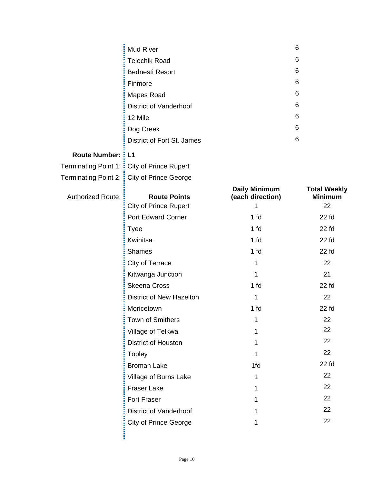|                          | Mud River                                           |                      | 6                   |
|--------------------------|-----------------------------------------------------|----------------------|---------------------|
|                          | <b>Telechik Road</b>                                |                      | 6                   |
|                          | <b>Bednesti Resort</b>                              |                      | 6                   |
|                          | Finmore                                             |                      | 6                   |
|                          | Mapes Road                                          |                      | 6                   |
|                          | <b>District of Vanderhoof</b>                       |                      | 6                   |
|                          | 12 Mile                                             |                      | 6                   |
|                          | Dog Creek                                           |                      | 6                   |
|                          | District of Fort St. James                          |                      | 6                   |
| <b>Route Number:</b>     | E L1                                                |                      |                     |
|                          | Terminating Point 1: : City of Prince Rupert        |                      |                     |
|                          | Terminating Point 2: <b>:</b> City of Prince George |                      |                     |
|                          |                                                     | <b>Daily Minimum</b> | <b>Total Weekly</b> |
| <b>Authorized Route:</b> | <b>Route Points</b>                                 | (each direction)     | <b>Minimum</b>      |
|                          | City of Prince Rupert                               | 1                    | 22                  |
|                          | <b>Port Edward Corner</b>                           | 1 fd                 | $22$ fd             |
|                          | <b>Tyee</b>                                         | 1 fd                 | $22$ fd             |
|                          | Kwinitsa                                            | 1 <sub>fd</sub>      | 22 fd               |
|                          | <b>Shames</b>                                       | 1 <sub>fd</sub>      | $22$ fd             |
|                          | City of Terrace                                     | 1                    | 22                  |
|                          | Kitwanga Junction                                   | 1                    | 21                  |
|                          | <b>Skeena Cross</b>                                 | 1 <sub>fd</sub>      | $22$ fd             |
|                          | District of New Hazelton                            | 1                    | 22                  |
|                          | Moricetown                                          | 1 fd                 | $22$ fd             |
|                          | Town of Smithers                                    | 1                    | 22                  |
|                          | Village of Telkwa                                   | 1                    | 22                  |
|                          | District of Houston                                 | 1                    | 22                  |
|                          | <b>Topley</b>                                       | 1                    | 22                  |
|                          | <b>Broman Lake</b>                                  | 1fd                  | $22$ fd             |
|                          | Village of Burns Lake                               | 1                    | 22                  |
|                          | Fraser Lake                                         | 1                    | 22                  |
|                          | Fort Fraser                                         | 1                    | 22                  |
|                          | <b>District of Vanderhoof</b>                       | 1                    | 22                  |
|                          | <b>City of Prince George</b>                        | 1                    | 22                  |
|                          |                                                     |                      |                     |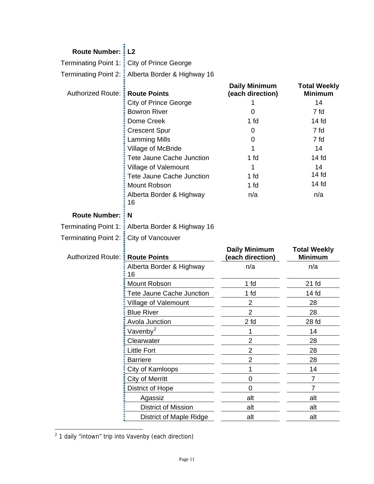| <b>Route Number:</b>        | L <sub>2</sub>                               |                                          |                                       |
|-----------------------------|----------------------------------------------|------------------------------------------|---------------------------------------|
|                             | Terminating Point 1: E City of Prince George |                                          |                                       |
| Terminating Point 2: :      | Alberta Border & Highway 16                  |                                          |                                       |
| Authorized Route: :         | <b>Route Points</b>                          | <b>Daily Minimum</b><br>(each direction) | <b>Total Weekly</b><br><b>Minimum</b> |
|                             | <b>City of Prince George</b>                 | 1                                        | 14                                    |
|                             | <b>Bowron River</b>                          | $\mathbf 0$                              | 7 fd                                  |
|                             | Dome Creek                                   | 1 fd                                     | 14 <sub>fd</sub>                      |
|                             | <b>Crescent Spur</b>                         | 0                                        | 7 fd                                  |
|                             | <b>Lamming Mills</b>                         | 0                                        | 7 fd                                  |
|                             | Village of McBride                           | 1                                        | 14                                    |
|                             | <b>Tete Jaune Cache Junction</b>             | 1 fd                                     | $14f$ d                               |
|                             | Village of Valemount                         | 1                                        | 14                                    |
|                             | <b>Tete Jaune Cache Junction</b>             | 1 fd                                     | 14 <sub>fd</sub>                      |
|                             | Mount Robson                                 | 1 <sub>fd</sub>                          | 14 <sub>fd</sub>                      |
|                             | Alberta Border & Highway<br>16               | n/a                                      | n/a                                   |
| <b>Route Number:</b>        | N                                            |                                          |                                       |
| <b>Terminating Point 1:</b> | Alberta Border & Highway 16                  |                                          |                                       |
|                             |                                              |                                          |                                       |
| Terminating Point 2: :      | City of Vancouver                            |                                          |                                       |
| Authorized Route: :         | <b>Route Points</b>                          | <b>Daily Minimum</b><br>(each direction) | <b>Total Weekly</b><br><b>Minimum</b> |
|                             | Alberta Border & Highway<br>16               | n/a                                      | n/a                                   |
|                             | Mount Robson                                 | 1 <sub>fd</sub>                          | $21$ fd                               |
|                             | Tete Jaune Cache Junction                    | 1 fd                                     | 14 <sub>fd</sub>                      |
|                             | Village of Valemount                         | $\overline{2}$                           | 28                                    |
|                             | <b>Blue River</b>                            | $\overline{2}$                           | 28                                    |
|                             | Avola Junction                               | 2 <sub>td</sub>                          | 28 fd                                 |
|                             | Vavenby <sup>2</sup>                         | 1                                        | 14                                    |
|                             | Clearwater                                   | $\overline{2}$                           | 28                                    |
|                             | <b>Little Fort</b>                           | $\overline{2}$                           | 28                                    |
|                             | <b>Barriere</b>                              | $\overline{2}$                           | 28                                    |
|                             | City of Kamloops                             | 1                                        | 14                                    |
|                             | <b>City of Merritt</b>                       | $\overline{0}$                           | $\overline{7}$                        |
|                             | District of Hope                             | $\mathbf 0$                              | $\overline{7}$                        |
|                             | Agassiz                                      | alt                                      | alt                                   |
|                             | District of Mission                          | alt                                      | alt                                   |

<span id="page-10-0"></span>endies<br>
<sup>2</sup> 1 daily "intown" trip into Vavenby (each direction)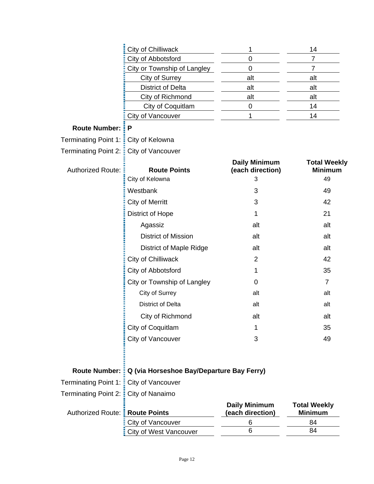|                                  | City of Chilliwack                        | 1                                             | 14                                          |
|----------------------------------|-------------------------------------------|-----------------------------------------------|---------------------------------------------|
|                                  | City of Abbotsford                        | 0                                             | 7                                           |
|                                  | City or Township of Langley               | 0                                             | $\overline{7}$                              |
|                                  | City of Surrey                            | alt                                           | alt                                         |
|                                  | <b>District of Delta</b>                  | alt                                           | alt                                         |
|                                  | City of Richmond                          | alt                                           | alt                                         |
|                                  | City of Coquitlam                         | 0                                             | 14                                          |
|                                  | City of Vancouver                         | 1                                             | 14                                          |
| <b>Route Number:</b>             | P                                         |                                               |                                             |
| <b>Terminating Point 1:</b>      | City of Kelowna                           |                                               |                                             |
| <b>Terminating Point 2:</b>      | City of Vancouver                         |                                               |                                             |
| <b>Authorized Route:</b>         | <b>Route Points</b><br>City of Kelowna    | <b>Daily Minimum</b><br>(each direction)<br>3 | <b>Total Weekly</b><br><b>Minimum</b><br>49 |
|                                  | Westbank                                  | 3                                             | 49                                          |
|                                  | City of Merritt                           | 3                                             | 42                                          |
|                                  | District of Hope                          | 1                                             | 21                                          |
|                                  | Agassiz                                   | alt                                           | alt                                         |
|                                  | <b>District of Mission</b>                | alt                                           | alt                                         |
|                                  | <b>District of Maple Ridge</b>            | alt                                           | alt                                         |
|                                  | City of Chilliwack                        | $\overline{2}$                                | 42                                          |
|                                  | City of Abbotsford                        | 1                                             | 35                                          |
|                                  | City or Township of Langley               | 0                                             | $\overline{7}$                              |
|                                  | City of Surrey                            | alt                                           | alt                                         |
|                                  | <b>District of Delta</b>                  | alt                                           | alt                                         |
|                                  | City of Richmond                          | alt                                           | alt                                         |
|                                  | City of Coquitlam                         | 1                                             | 35                                          |
|                                  | City of Vancouver                         | 3                                             | 49                                          |
|                                  |                                           |                                               |                                             |
| <b>Route Number:</b>             | Q (via Horseshoe Bay/Departure Bay Ferry) |                                               |                                             |
| <b>Terminating Point 1:</b>      | City of Vancouver                         |                                               |                                             |
| <b>Terminating Point 2:</b>      | City of Nanaimo                           |                                               |                                             |
| Authorized Route: : Route Points |                                           | <b>Daily Minimum</b><br>(each direction)      | <b>Total Weekly</b><br><b>Minimum</b>       |
|                                  | City of Vancouver                         | 6                                             | 84                                          |
|                                  | City of West Vancouver                    | 6                                             | 84                                          |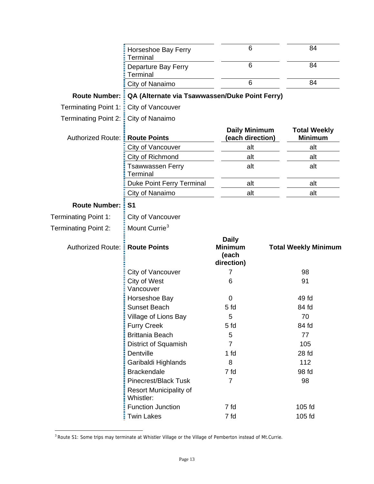|                                  | Horseshoe Bay Ferry<br><b>Terminal</b>                                    | 6                                        | 84                                    |
|----------------------------------|---------------------------------------------------------------------------|------------------------------------------|---------------------------------------|
|                                  | Departure Bay Ferry<br>Terminal                                           | 6                                        | 84                                    |
|                                  | City of Nanaimo                                                           | 6                                        | 84                                    |
| <b>Route Number:</b>             | QA (Alternate via Tsawwassen/Duke Point Ferry)                            |                                          |                                       |
| <b>Terminating Point 1:</b>      | City of Vancouver                                                         |                                          |                                       |
| <b>Terminating Point 2:</b>      | City of Nanaimo                                                           |                                          |                                       |
| Authorized Route: : Route Points |                                                                           | <b>Daily Minimum</b><br>(each direction) | <b>Total Weekly</b><br><b>Minimum</b> |
|                                  | City of Vancouver                                                         | alt                                      | alt                                   |
|                                  | City of Richmond                                                          | alt                                      | alt                                   |
|                                  | <b>Tsawwassen Ferry</b><br>Terminal                                       | alt                                      | alt                                   |
|                                  | Duke Point Ferry Terminal                                                 | alt                                      | alt                                   |
|                                  | City of Nanaimo                                                           | alt                                      | alt                                   |
| <b>Route Number:</b>             | S <sub>1</sub>                                                            |                                          |                                       |
| Terminating Point 1:             | City of Vancouver                                                         |                                          |                                       |
| Terminating Point 2:             | Mount Currie <sup>3</sup>                                                 |                                          |                                       |
|                                  |                                                                           |                                          |                                       |
| Authorized Route: :              | <b>Route Points</b>                                                       | <b>Daily</b><br><b>Minimum</b><br>(each  | <b>Total Weekly Minimum</b>           |
|                                  | City of Vancouver                                                         | direction)<br>7                          | 98                                    |
|                                  | City of West<br>Vancouver                                                 | 6                                        | 91                                    |
|                                  | Horseshoe Bay                                                             | 0                                        | 49 fd                                 |
|                                  | <b>Sunset Beach</b>                                                       | 5 <sub>fd</sub>                          | 84 fd                                 |
|                                  | Village of Lions Bay                                                      | 5                                        | 70                                    |
|                                  | <b>Furry Creek</b>                                                        | 5 fd                                     | 84 fd                                 |
|                                  | <b>Brittania Beach</b>                                                    | 5                                        | 77                                    |
|                                  | <b>District of Squamish</b>                                               | $\overline{7}$                           | 105                                   |
|                                  | Dentville                                                                 | 1 fd                                     | 28 fd                                 |
|                                  | Garibaldi Highlands                                                       | 8                                        | 112                                   |
|                                  | <b>Brackendale</b>                                                        | 7 fd                                     | 98 fd                                 |
|                                  | <b>Pinecrest/Black Tusk</b><br><b>Resort Municipality of</b><br>Whistler: | $\overline{7}$                           | 98                                    |
|                                  | <b>Function Junction</b>                                                  | 7 fd                                     | 105 fd                                |

<span id="page-12-0"></span><sup>&</sup>lt;sup>3</sup> Route S1: Some trips may terminate at Whistler Village or the Village of Pemberton instead of Mt.Currie.

 $\overline{a}$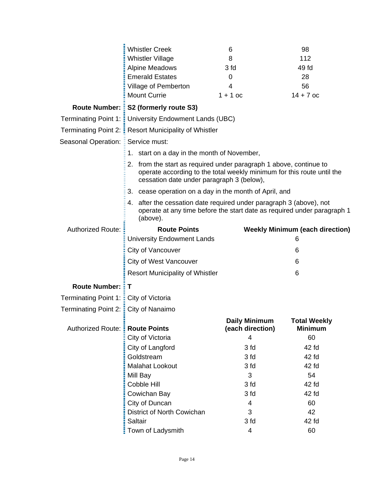|                               | <b>Whistler Creek</b>                                                                                                                                                                     | 6                                        | 98                                     |
|-------------------------------|-------------------------------------------------------------------------------------------------------------------------------------------------------------------------------------------|------------------------------------------|----------------------------------------|
|                               | <b>Whistler Village</b>                                                                                                                                                                   | 8                                        | 112                                    |
|                               | <b>Alpine Meadows</b>                                                                                                                                                                     | 3 fd                                     | 49 fd                                  |
|                               | <b>Emerald Estates</b>                                                                                                                                                                    | 0                                        | 28                                     |
|                               | Village of Pemberton                                                                                                                                                                      | 4                                        | 56                                     |
|                               | <b>Mount Currie</b>                                                                                                                                                                       | $1 + 1$ oc                               | $14 + 7$ oc                            |
|                               | Route Number: : S2 (formerly route S3)                                                                                                                                                    |                                          |                                        |
| Terminating Point 1: :        | University Endowment Lands (UBC)                                                                                                                                                          |                                          |                                        |
| Terminating Point 2: :        | <b>Resort Municipality of Whistler</b>                                                                                                                                                    |                                          |                                        |
| Seasonal Operation: E         | Service must:                                                                                                                                                                             |                                          |                                        |
|                               | 1. start on a day in the month of November,                                                                                                                                               |                                          |                                        |
|                               | 2. from the start as required under paragraph 1 above, continue to<br>operate according to the total weekly minimum for this route until the<br>cessation date under paragraph 3 (below), |                                          |                                        |
|                               | 3. cease operation on a day in the month of April, and                                                                                                                                    |                                          |                                        |
|                               | after the cessation date required under paragraph 3 (above), not<br>4.<br>operate at any time before the start date as required under paragraph 1<br>(above).                             |                                          |                                        |
| Authorized Route:             | <b>Route Points</b>                                                                                                                                                                       |                                          | <b>Weekly Minimum (each direction)</b> |
|                               | <b>University Endowment Lands</b>                                                                                                                                                         |                                          | 6                                      |
|                               | City of Vancouver                                                                                                                                                                         |                                          | 6                                      |
|                               | <b>City of West Vancouver</b>                                                                                                                                                             |                                          | 6                                      |
|                               | <b>Resort Municipality of Whistler</b>                                                                                                                                                    |                                          | 6                                      |
| <b>Route Number: :</b>        | Т                                                                                                                                                                                         |                                          |                                        |
| Terminating Point 1: <b>E</b> | City of Victoria                                                                                                                                                                          |                                          |                                        |
| Terminating Point 2: :        | City of Nanaimo                                                                                                                                                                           |                                          |                                        |
| Authorized Route:             | <b>Route Points</b>                                                                                                                                                                       | <b>Daily Minimum</b><br>(each direction) | <b>Total Weekly</b><br><b>Minimum</b>  |
|                               | City of Victoria                                                                                                                                                                          | 4                                        | 60                                     |
|                               | City of Langford                                                                                                                                                                          | 3 fd                                     | 42 fd                                  |
|                               | Goldstream                                                                                                                                                                                | 3 fd                                     | 42 fd                                  |
|                               | Malahat Lookout                                                                                                                                                                           | 3 fd                                     | 42 fd                                  |
|                               | Mill Bay                                                                                                                                                                                  | 3                                        | 54                                     |
|                               | Cobble Hill                                                                                                                                                                               | 3 fd                                     | 42 fd                                  |
|                               |                                                                                                                                                                                           |                                          |                                        |
|                               | Cowichan Bay                                                                                                                                                                              | 3 fd                                     | 42 fd                                  |
|                               | City of Duncan                                                                                                                                                                            | $\overline{4}$                           | 60                                     |
|                               | District of North Cowichan                                                                                                                                                                | 3                                        | 42                                     |
|                               | Saltair<br>Town of Ladysmith                                                                                                                                                              | 3 <sub>td</sub>                          | 42 fd                                  |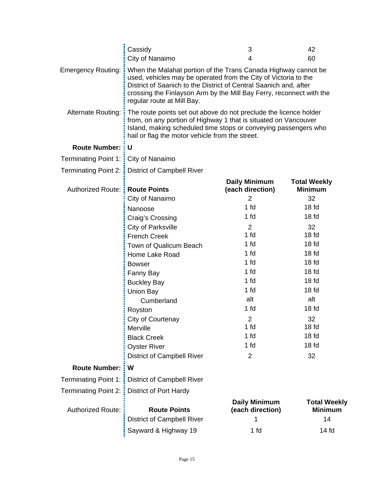| When the Malahat portion of the Trans Canada Highway cannot be<br><b>Emergency Routing:</b><br>used, vehicles may be operated from the City of Victoria to the<br>District of Saanich to the District of Central Saanich and, after<br>crossing the Finlayson Arm by the Mill Bay Ferry, reconnect with the<br>regular route at Mill Bay.<br><b>Alternate Routing:</b><br>The route points set out above do not preclude the licence holder<br>from, on any portion of Highway 1 that is situated on Vancouver<br>Island, making scheduled time stops or conveying passengers who<br>hail or flag the motor vehicle from the street.<br><b>Route Number:</b><br>ΞU<br>Terminating Point 1: : City of Nanaimo<br>Terminating Point 2: District of Campbell River<br><b>Daily Minimum</b><br><b>Total Weekly</b><br><b>Route Points</b><br>(each direction)<br><b>Authorized Route:</b><br><b>Minimum</b><br>City of Nanaimo<br>$\overline{2}$<br>32<br>1 fd<br>18 <sub>fd</sub><br>Nanoose<br>1 fd<br>18 <sub>fd</sub><br>Craig's Crossing<br><b>City of Parksville</b><br>$\overline{2}$<br>32<br>1 fd<br>18 <sub>fd</sub><br><b>French Creek</b><br>1 fd<br>18 <sub>fd</sub><br>Town of Qualicum Beach<br>1 fd<br>18 <sub>fd</sub><br>Home Lake Road<br>1 fd<br>18 <sub>fd</sub><br><b>Bowser</b><br>1 fd<br>18 <sub>fd</sub><br>Fanny Bay<br>1 fd<br>18 <sub>fd</sub><br><b>Buckley Bay</b><br>1 fd<br>18 <sub>fd</sub><br><b>Union Bay</b><br>alt<br>alt<br>Cumberland<br>1 <sub>fd</sub><br>18 <sub>fd</sub><br>Royston<br>$\overline{2}$<br>32<br>City of Courtenay<br>1 fd<br>18 <sub>fd</sub><br>Merville<br>1 <sub>fd</sub><br>18 <sub>fd</sub><br><b>Black Creek</b><br>1 fd<br>18 <sub>fd</sub><br><b>Oyster River</b><br>32<br><b>District of Campbell River</b><br>$\overline{2}$<br>Route Number: :<br>W<br><b>Terminating Point 1:</b><br><b>District of Campbell River</b><br><b>Terminating Point 2:</b><br><b>District of Port Hardy</b><br>š<br><b>Daily Minimum</b><br><b>Authorized Route:</b><br><b>Route Points</b><br>(each direction)<br><b>Minimum</b><br>14<br><b>District of Campbell River</b><br>1 | Cassidy<br>City of Nanaimo | 3<br>4 | 42<br>60            |
|---------------------------------------------------------------------------------------------------------------------------------------------------------------------------------------------------------------------------------------------------------------------------------------------------------------------------------------------------------------------------------------------------------------------------------------------------------------------------------------------------------------------------------------------------------------------------------------------------------------------------------------------------------------------------------------------------------------------------------------------------------------------------------------------------------------------------------------------------------------------------------------------------------------------------------------------------------------------------------------------------------------------------------------------------------------------------------------------------------------------------------------------------------------------------------------------------------------------------------------------------------------------------------------------------------------------------------------------------------------------------------------------------------------------------------------------------------------------------------------------------------------------------------------------------------------------------------------------------------------------------------------------------------------------------------------------------------------------------------------------------------------------------------------------------------------------------------------------------------------------------------------------------------------------------------------------------------------------------------------------------------------------------------------------------------------------------------------------------------------------------------|----------------------------|--------|---------------------|
|                                                                                                                                                                                                                                                                                                                                                                                                                                                                                                                                                                                                                                                                                                                                                                                                                                                                                                                                                                                                                                                                                                                                                                                                                                                                                                                                                                                                                                                                                                                                                                                                                                                                                                                                                                                                                                                                                                                                                                                                                                                                                                                                 |                            |        |                     |
|                                                                                                                                                                                                                                                                                                                                                                                                                                                                                                                                                                                                                                                                                                                                                                                                                                                                                                                                                                                                                                                                                                                                                                                                                                                                                                                                                                                                                                                                                                                                                                                                                                                                                                                                                                                                                                                                                                                                                                                                                                                                                                                                 |                            |        |                     |
|                                                                                                                                                                                                                                                                                                                                                                                                                                                                                                                                                                                                                                                                                                                                                                                                                                                                                                                                                                                                                                                                                                                                                                                                                                                                                                                                                                                                                                                                                                                                                                                                                                                                                                                                                                                                                                                                                                                                                                                                                                                                                                                                 |                            |        |                     |
|                                                                                                                                                                                                                                                                                                                                                                                                                                                                                                                                                                                                                                                                                                                                                                                                                                                                                                                                                                                                                                                                                                                                                                                                                                                                                                                                                                                                                                                                                                                                                                                                                                                                                                                                                                                                                                                                                                                                                                                                                                                                                                                                 |                            |        |                     |
|                                                                                                                                                                                                                                                                                                                                                                                                                                                                                                                                                                                                                                                                                                                                                                                                                                                                                                                                                                                                                                                                                                                                                                                                                                                                                                                                                                                                                                                                                                                                                                                                                                                                                                                                                                                                                                                                                                                                                                                                                                                                                                                                 |                            |        |                     |
|                                                                                                                                                                                                                                                                                                                                                                                                                                                                                                                                                                                                                                                                                                                                                                                                                                                                                                                                                                                                                                                                                                                                                                                                                                                                                                                                                                                                                                                                                                                                                                                                                                                                                                                                                                                                                                                                                                                                                                                                                                                                                                                                 |                            |        |                     |
|                                                                                                                                                                                                                                                                                                                                                                                                                                                                                                                                                                                                                                                                                                                                                                                                                                                                                                                                                                                                                                                                                                                                                                                                                                                                                                                                                                                                                                                                                                                                                                                                                                                                                                                                                                                                                                                                                                                                                                                                                                                                                                                                 |                            |        |                     |
|                                                                                                                                                                                                                                                                                                                                                                                                                                                                                                                                                                                                                                                                                                                                                                                                                                                                                                                                                                                                                                                                                                                                                                                                                                                                                                                                                                                                                                                                                                                                                                                                                                                                                                                                                                                                                                                                                                                                                                                                                                                                                                                                 |                            |        |                     |
|                                                                                                                                                                                                                                                                                                                                                                                                                                                                                                                                                                                                                                                                                                                                                                                                                                                                                                                                                                                                                                                                                                                                                                                                                                                                                                                                                                                                                                                                                                                                                                                                                                                                                                                                                                                                                                                                                                                                                                                                                                                                                                                                 |                            |        |                     |
|                                                                                                                                                                                                                                                                                                                                                                                                                                                                                                                                                                                                                                                                                                                                                                                                                                                                                                                                                                                                                                                                                                                                                                                                                                                                                                                                                                                                                                                                                                                                                                                                                                                                                                                                                                                                                                                                                                                                                                                                                                                                                                                                 |                            |        |                     |
|                                                                                                                                                                                                                                                                                                                                                                                                                                                                                                                                                                                                                                                                                                                                                                                                                                                                                                                                                                                                                                                                                                                                                                                                                                                                                                                                                                                                                                                                                                                                                                                                                                                                                                                                                                                                                                                                                                                                                                                                                                                                                                                                 |                            |        |                     |
|                                                                                                                                                                                                                                                                                                                                                                                                                                                                                                                                                                                                                                                                                                                                                                                                                                                                                                                                                                                                                                                                                                                                                                                                                                                                                                                                                                                                                                                                                                                                                                                                                                                                                                                                                                                                                                                                                                                                                                                                                                                                                                                                 |                            |        |                     |
|                                                                                                                                                                                                                                                                                                                                                                                                                                                                                                                                                                                                                                                                                                                                                                                                                                                                                                                                                                                                                                                                                                                                                                                                                                                                                                                                                                                                                                                                                                                                                                                                                                                                                                                                                                                                                                                                                                                                                                                                                                                                                                                                 |                            |        |                     |
|                                                                                                                                                                                                                                                                                                                                                                                                                                                                                                                                                                                                                                                                                                                                                                                                                                                                                                                                                                                                                                                                                                                                                                                                                                                                                                                                                                                                                                                                                                                                                                                                                                                                                                                                                                                                                                                                                                                                                                                                                                                                                                                                 |                            |        |                     |
|                                                                                                                                                                                                                                                                                                                                                                                                                                                                                                                                                                                                                                                                                                                                                                                                                                                                                                                                                                                                                                                                                                                                                                                                                                                                                                                                                                                                                                                                                                                                                                                                                                                                                                                                                                                                                                                                                                                                                                                                                                                                                                                                 |                            |        |                     |
|                                                                                                                                                                                                                                                                                                                                                                                                                                                                                                                                                                                                                                                                                                                                                                                                                                                                                                                                                                                                                                                                                                                                                                                                                                                                                                                                                                                                                                                                                                                                                                                                                                                                                                                                                                                                                                                                                                                                                                                                                                                                                                                                 |                            |        |                     |
|                                                                                                                                                                                                                                                                                                                                                                                                                                                                                                                                                                                                                                                                                                                                                                                                                                                                                                                                                                                                                                                                                                                                                                                                                                                                                                                                                                                                                                                                                                                                                                                                                                                                                                                                                                                                                                                                                                                                                                                                                                                                                                                                 |                            |        |                     |
|                                                                                                                                                                                                                                                                                                                                                                                                                                                                                                                                                                                                                                                                                                                                                                                                                                                                                                                                                                                                                                                                                                                                                                                                                                                                                                                                                                                                                                                                                                                                                                                                                                                                                                                                                                                                                                                                                                                                                                                                                                                                                                                                 |                            |        |                     |
|                                                                                                                                                                                                                                                                                                                                                                                                                                                                                                                                                                                                                                                                                                                                                                                                                                                                                                                                                                                                                                                                                                                                                                                                                                                                                                                                                                                                                                                                                                                                                                                                                                                                                                                                                                                                                                                                                                                                                                                                                                                                                                                                 |                            |        |                     |
|                                                                                                                                                                                                                                                                                                                                                                                                                                                                                                                                                                                                                                                                                                                                                                                                                                                                                                                                                                                                                                                                                                                                                                                                                                                                                                                                                                                                                                                                                                                                                                                                                                                                                                                                                                                                                                                                                                                                                                                                                                                                                                                                 |                            |        |                     |
|                                                                                                                                                                                                                                                                                                                                                                                                                                                                                                                                                                                                                                                                                                                                                                                                                                                                                                                                                                                                                                                                                                                                                                                                                                                                                                                                                                                                                                                                                                                                                                                                                                                                                                                                                                                                                                                                                                                                                                                                                                                                                                                                 |                            |        |                     |
|                                                                                                                                                                                                                                                                                                                                                                                                                                                                                                                                                                                                                                                                                                                                                                                                                                                                                                                                                                                                                                                                                                                                                                                                                                                                                                                                                                                                                                                                                                                                                                                                                                                                                                                                                                                                                                                                                                                                                                                                                                                                                                                                 |                            |        |                     |
|                                                                                                                                                                                                                                                                                                                                                                                                                                                                                                                                                                                                                                                                                                                                                                                                                                                                                                                                                                                                                                                                                                                                                                                                                                                                                                                                                                                                                                                                                                                                                                                                                                                                                                                                                                                                                                                                                                                                                                                                                                                                                                                                 |                            |        |                     |
|                                                                                                                                                                                                                                                                                                                                                                                                                                                                                                                                                                                                                                                                                                                                                                                                                                                                                                                                                                                                                                                                                                                                                                                                                                                                                                                                                                                                                                                                                                                                                                                                                                                                                                                                                                                                                                                                                                                                                                                                                                                                                                                                 |                            |        |                     |
|                                                                                                                                                                                                                                                                                                                                                                                                                                                                                                                                                                                                                                                                                                                                                                                                                                                                                                                                                                                                                                                                                                                                                                                                                                                                                                                                                                                                                                                                                                                                                                                                                                                                                                                                                                                                                                                                                                                                                                                                                                                                                                                                 |                            |        |                     |
|                                                                                                                                                                                                                                                                                                                                                                                                                                                                                                                                                                                                                                                                                                                                                                                                                                                                                                                                                                                                                                                                                                                                                                                                                                                                                                                                                                                                                                                                                                                                                                                                                                                                                                                                                                                                                                                                                                                                                                                                                                                                                                                                 |                            |        |                     |
|                                                                                                                                                                                                                                                                                                                                                                                                                                                                                                                                                                                                                                                                                                                                                                                                                                                                                                                                                                                                                                                                                                                                                                                                                                                                                                                                                                                                                                                                                                                                                                                                                                                                                                                                                                                                                                                                                                                                                                                                                                                                                                                                 |                            |        |                     |
|                                                                                                                                                                                                                                                                                                                                                                                                                                                                                                                                                                                                                                                                                                                                                                                                                                                                                                                                                                                                                                                                                                                                                                                                                                                                                                                                                                                                                                                                                                                                                                                                                                                                                                                                                                                                                                                                                                                                                                                                                                                                                                                                 |                            |        | <b>Total Weekly</b> |
|                                                                                                                                                                                                                                                                                                                                                                                                                                                                                                                                                                                                                                                                                                                                                                                                                                                                                                                                                                                                                                                                                                                                                                                                                                                                                                                                                                                                                                                                                                                                                                                                                                                                                                                                                                                                                                                                                                                                                                                                                                                                                                                                 | Sayward & Highway 19       | 1 fd   | $14f$ d             |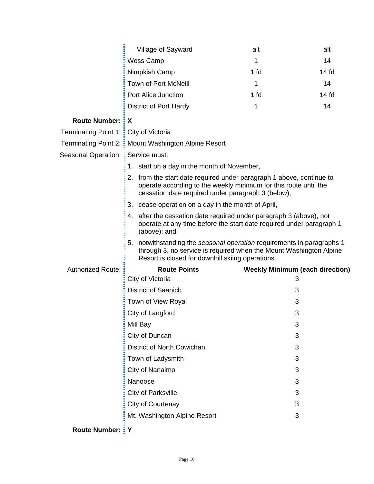|                                       | Village of Sayward                                                                                                                                                                               | alt  | alt                                    |
|---------------------------------------|--------------------------------------------------------------------------------------------------------------------------------------------------------------------------------------------------|------|----------------------------------------|
|                                       | Woss Camp                                                                                                                                                                                        | 1    | 14                                     |
|                                       | Nimpkish Camp                                                                                                                                                                                    | 1 fd | 14 <sub>fd</sub>                       |
|                                       | <b>Town of Port McNeill</b>                                                                                                                                                                      | 1    | 14                                     |
|                                       | Port Alice Junction                                                                                                                                                                              | 1 fd | 14 <sub>fd</sub>                       |
|                                       | <b>District of Port Hardy</b>                                                                                                                                                                    | 1    | 14                                     |
| <b>Route Number: : X</b>              |                                                                                                                                                                                                  |      |                                        |
| Terminating Point 1: City of Victoria |                                                                                                                                                                                                  |      |                                        |
|                                       | Terminating Point 2: E Mount Washington Alpine Resort                                                                                                                                            |      |                                        |
| Seasonal Operation:                   | Service must:                                                                                                                                                                                    |      |                                        |
|                                       | start on a day in the month of November,<br>1.                                                                                                                                                   |      |                                        |
|                                       | 2. from the start date required under paragraph 1 above, continue to<br>operate according to the weekly minimum for this route until the<br>cessation date required under paragraph 3 (below),   |      |                                        |
|                                       | 3.<br>cease operation on a day in the month of April,                                                                                                                                            |      |                                        |
|                                       | after the cessation date required under paragraph 3 (above), not<br>4.<br>operate at any time before the start date required under paragraph 1<br>(above); and,                                  |      |                                        |
|                                       | 5. notwithstanding the seasonal operation requirements in paragraphs 1<br>through 3, no service is required when the Mount Washington Alpine<br>Resort is closed for downhill skiing operations. |      |                                        |
| <b>Authorized Route:</b>              | <b>Route Points</b>                                                                                                                                                                              |      | <b>Weekly Minimum (each direction)</b> |
|                                       | City of Victoria                                                                                                                                                                                 |      | 3                                      |
|                                       | <b>District of Saanich</b>                                                                                                                                                                       |      | 3                                      |
|                                       | Town of View Royal                                                                                                                                                                               |      | 3                                      |
|                                       | City of Langford                                                                                                                                                                                 |      | 3                                      |
|                                       | Mill Bay                                                                                                                                                                                         |      | 3                                      |
|                                       | City of Duncan                                                                                                                                                                                   |      | 3                                      |
|                                       | District of North Cowichan                                                                                                                                                                       |      | 3                                      |
|                                       | Town of Ladysmith                                                                                                                                                                                |      | 3                                      |
|                                       | City of Nanaimo                                                                                                                                                                                  |      | 3                                      |
|                                       | Nanoose                                                                                                                                                                                          |      | 3                                      |
|                                       | <b>City of Parksville</b>                                                                                                                                                                        |      | 3                                      |
|                                       | City of Courtenay                                                                                                                                                                                |      | 3                                      |
|                                       | Mt. Washington Alpine Resort                                                                                                                                                                     |      | 3                                      |
| Route Number: <i>I</i> Y              |                                                                                                                                                                                                  |      |                                        |